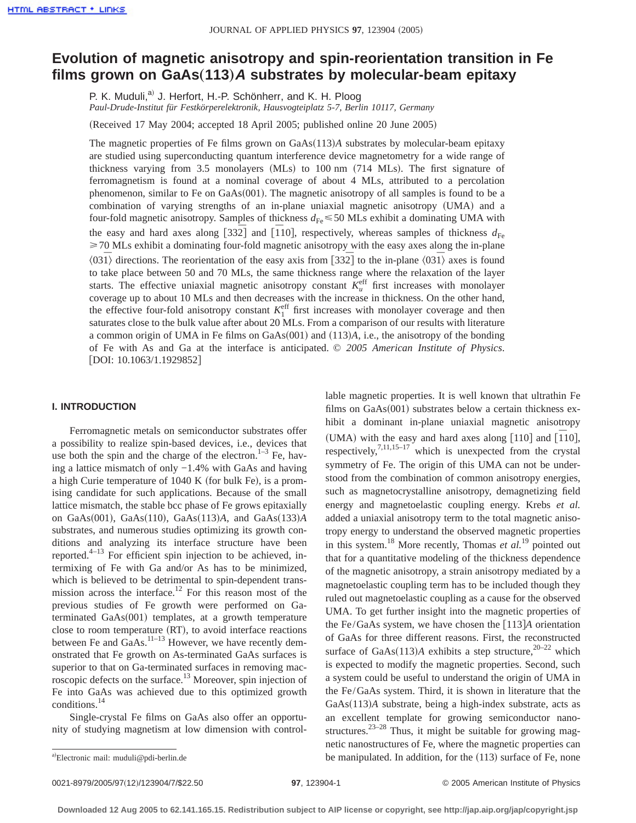# **Evolution of magnetic anisotropy and spin-reorientation transition in Fe films grown on GaAs**"**113**…**<sup>A</sup> substrates by molecular-beam epitaxy**

P. K. Muduli,<sup>a)</sup> J. Herfort, H.-P. Schönherr, and K. H. Ploog

*Paul-Drude-Institut für Festkörperelektronik, Hausvogteiplatz 5-7, Berlin 10117, Germany*

(Received 17 May 2004; accepted 18 April 2005; published online 20 June 2005)

The magnetic properties of Fe films grown on GaAs $(113)A$  substrates by molecular-beam epitaxy are studied using superconducting quantum interference device magnetometry for a wide range of thickness varying from  $3.5$  monolayers (MLs) to  $100 \text{ nm}$  (714 MLs). The first signature of ferromagnetism is found at a nominal coverage of about 4 MLs, attributed to a percolation phenomenon, similar to Fe on GaAs $(001)$ . The magnetic anisotropy of all samples is found to be a combination of varying strengths of an in-plane uniaxial magnetic anisotropy (UMA) and a four-fold magnetic anisotropy. Samples of thickness  $d_{Fe} \leq 50$  MLs exhibit a dominating UMA with the easy and hard axes along  $[33\overline{2}]$  and  $[110]$ , respectively, whereas samples of thickness  $d_{\text{Fe}}$  $\geq$  70 MLs exhibit a dominating four-fold magnetic anisotropy with the easy axes along the in-plane  $\langle 031 \rangle$  directions. The reorientation of the easy axis from [332] to the in-plane  $\langle 031 \rangle$  axes is found to take place between 50 and 70 MLs, the same thickness range where the relaxation of the layer starts. The effective uniaxial magnetic anisotropy constant  $K_u^{\text{eff}}$  first increases with monolayer coverage up to about 10 MLs and then decreases with the increase in thickness. On the other hand, the effective four-fold anisotropy constant  $K_1^{\text{eff}}$  first increases with monolayer coverage and then saturates close to the bulk value after about 20 MLs. From a comparison of our results with literature a common origin of UMA in Fe films on  $GaAs(001)$  and  $(113)A$ , i.e., the anisotropy of the bonding of Fe with As and Ga at the interface is anticipated. © *2005 American Institute of Physics*. [DOI: 10.1063/1.1929852]

## **I. INTRODUCTION**

Ferromagnetic metals on semiconductor substrates offer a possibility to realize spin-based devices, i.e., devices that use both the spin and the charge of the electron. $1-3$  Fe, having a lattice mismatch of only −1.4% with GaAs and having a high Curie temperature of  $1040$  K (for bulk Fe), is a promising candidate for such applications. Because of the small lattice mismatch, the stable bcc phase of Fe grows epitaxially on GaAs $(001)$ , GaAs $(110)$ , GaAs $(113)$ *A*, and GaAs $(133)$ *A* substrates, and numerous studies optimizing its growth conditions and analyzing its interface structure have been reported. $4-13$  For efficient spin injection to be achieved, intermixing of Fe with Ga and/or As has to be minimized, which is believed to be detrimental to spin-dependent transmission across the interface.<sup>12</sup> For this reason most of the previous studies of Fe growth were performed on Gaterminated  $GaAs(001)$  templates, at a growth temperature close to room temperature (RT), to avoid interface reactions between Fe and GaAs.<sup>11–13</sup> However, we have recently demonstrated that Fe growth on As-terminated GaAs surfaces is superior to that on Ga-terminated surfaces in removing macroscopic defects on the surface.13 Moreover, spin injection of Fe into GaAs was achieved due to this optimized growth conditions.14

Single-crystal Fe films on GaAs also offer an opportunity of studying magnetism at low dimension with controllable magnetic properties. It is well known that ultrathin Fe films on  $GaAs(001)$  substrates below a certain thickness exhibit a dominant in-plane uniaxial magnetic anisotropy (UMA) with the easy and hard axes along [110] and  $\overline{[110]}$ , respectively,  $7,11,15-17$  which is unexpected from the crystal symmetry of Fe. The origin of this UMA can not be understood from the combination of common anisotropy energies, such as magnetocrystalline anisotropy, demagnetizing field energy and magnetoelastic coupling energy. Krebs *et al.* added a uniaxial anisotropy term to the total magnetic anisotropy energy to understand the observed magnetic properties in this system.18 More recently, Thomas *et al.*<sup>19</sup> pointed out that for a quantitative modeling of the thickness dependence of the magnetic anisotropy, a strain anisotropy mediated by a magnetoelastic coupling term has to be included though they ruled out magnetoelastic coupling as a cause for the observed UMA. To get further insight into the magnetic properties of the Fe/GaAs system, we have chosen the  $\lceil 113 \rceil$ *A* orientation of GaAs for three different reasons. First, the reconstructed surface of GaAs $(113)$ *A* exhibits a step structure,<sup>20–22</sup> which is expected to modify the magnetic properties. Second, such a system could be useful to understand the origin of UMA in the Fe/GaAs system. Third, it is shown in literature that the GaAs(113)*A* substrate, being a high-index substrate, acts as an excellent template for growing semiconductor nanostructures.<sup>23–28</sup> Thus, it might be suitable for growing magnetic nanostructures of Fe, where the magnetic properties can be manipulated. In addition, for the  $(113)$  surface of Fe, none

a)Electronic mail: muduli@pdi-berlin.de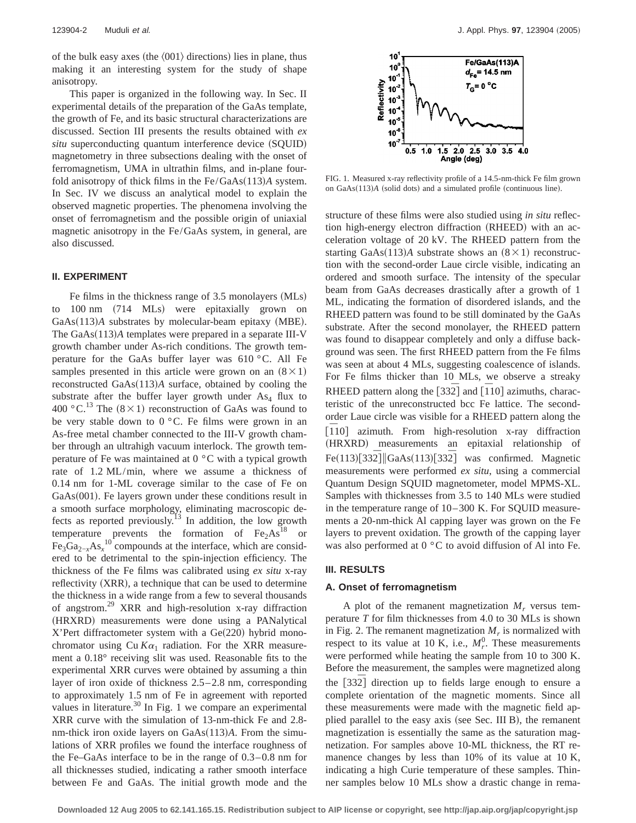of the bulk easy axes (the  $\langle 001 \rangle$  directions) lies in plane, thus making it an interesting system for the study of shape anisotropy.

This paper is organized in the following way. In Sec. II experimental details of the preparation of the GaAs template, the growth of Fe, and its basic structural characterizations are discussed. Section III presents the results obtained with *ex situ* superconducting quantum interference device (SQUID) magnetometry in three subsections dealing with the onset of ferromagnetism, UMA in ultrathin films, and in-plane fourfold anisotropy of thick films in the  $Fe/GaAs(113)A$  system. In Sec. IV we discuss an analytical model to explain the observed magnetic properties. The phenomena involving the onset of ferromagnetism and the possible origin of uniaxial magnetic anisotropy in the Fe/GaAs system, in general, are also discussed.

#### **II. EXPERIMENT**

Fe films in the thickness range of  $3.5$  monolayers (MLs) to  $100 \text{ nm}$  (714 MLs) were epitaxially grown on GaAs(113)A substrates by molecular-beam epitaxy (MBE). The GaAs(113)A templates were prepared in a separate III-V growth chamber under As-rich conditions. The growth temperature for the GaAs buffer layer was 610 °C. All Fe samples presented in this article were grown on an  $(8 \times 1)$ reconstructed GaAs(113)A surface, obtained by cooling the substrate after the buffer layer growth under  $As<sub>4</sub>$  flux to 400 °C.<sup>13</sup> The  $(8 \times 1)$  reconstruction of GaAs was found to be very stable down to  $0^{\circ}$ C. Fe films were grown in an As-free metal chamber connected to the III-V growth chamber through an ultrahigh vacuum interlock. The growth temperature of Fe was maintained at 0 °C with a typical growth rate of 1.2 ML/min, where we assume a thickness of 0.14 nm for 1-ML coverage similar to the case of Fe on  $GaAs(001)$ . Fe layers grown under these conditions result in a smooth surface morphology, eliminating macroscopic defects as reported previously.<sup>13</sup> In addition, the low growth temperature prevents the formation of  $Fe<sub>2</sub> As<sup>18</sup>$  or  $Fe<sub>3</sub>Ga<sub>2-x</sub>As<sub>x</sub><sup>10</sup> compounds at the interface, which are consid$ ered to be detrimental to the spin-injection efficiency. The thickness of the Fe films was calibrated using *ex situ* x-ray reflectivity (XRR), a technique that can be used to determine the thickness in a wide range from a few to several thousands of angstrom.29 XRR and high-resolution x-ray diffraction (HRXRD) measurements were done using a PANalytical  $X'$ Pert diffractometer system with a Ge $(220)$  hybrid monochromator using Cu  $K\alpha_1$  radiation. For the XRR measurement a 0.18° receiving slit was used. Reasonable fits to the experimental XRR curves were obtained by assuming a thin layer of iron oxide of thickness 2.5–2.8 nm, corresponding to approximately 1.5 nm of Fe in agreement with reported values in literature.<sup>30</sup> In Fig. 1 we compare an experimental XRR curve with the simulation of 13-nm-thick Fe and 2.8 nm-thick iron oxide layers on GaAs(113)*A*. From the simulations of XRR profiles we found the interface roughness of the Fe–GaAs interface to be in the range of 0.3–0.8 nm for all thicknesses studied, indicating a rather smooth interface between Fe and GaAs. The initial growth mode and the



FIG. 1. Measured x-ray reflectivity profile of a 14.5-nm-thick Fe film grown on GaAs(113)A (solid dots) and a simulated profile (continuous line).

structure of these films were also studied using *in situ* reflection high-energy electron diffraction (RHEED) with an acceleration voltage of 20 kV. The RHEED pattern from the starting GaAs $(113)$ *A* substrate shows an  $(8 \times 1)$  reconstruction with the second-order Laue circle visible, indicating an ordered and smooth surface. The intensity of the specular beam from GaAs decreases drastically after a growth of 1 ML, indicating the formation of disordered islands, and the RHEED pattern was found to be still dominated by the GaAs substrate. After the second monolayer, the RHEED pattern was found to disappear completely and only a diffuse background was seen. The first RHEED pattern from the Fe films was seen at about 4 MLs, suggesting coalescence of islands. For Fe films thicker than 10 MLs, we observe a streaky RHEED pattern along the  $[33\overline{2}]$  and  $[\overline{1}10]$  azimuths, characteristic of the unreconstructed bcc Fe lattice. The secondorder Laue circle was visible for a RHEED pattern along the From high-resolution x-ray diffraction (HRXRD) measurements an epitaxial relationship of Fe(113)[332]||GaAs(113)[332] was confirmed. Magnetic measurements were performed *ex situ*, using a commercial Quantum Design SQUID magnetometer, model MPMS-XL. Samples with thicknesses from 3.5 to 140 MLs were studied in the temperature range of 10–300 K. For SQUID measurements a 20-nm-thick Al capping layer was grown on the Fe layers to prevent oxidation. The growth of the capping layer was also performed at  $0^{\circ}$ C to avoid diffusion of Al into Fe.

## **III. RESULTS**

#### **A. Onset of ferromagnetism**

A plot of the remanent magnetization  $M_r$  versus temperature *T* for film thicknesses from 4.0 to 30 MLs is shown in Fig. 2. The remanent magnetization  $M_r$  is normalized with respect to its value at 10 K, i.e.,  $M_r^0$ . These measurements were performed while heating the sample from 10 to 300 K. Before the measurement, the samples were magnetized along the [332] direction up to fields large enough to ensure a complete orientation of the magnetic moments. Since all these measurements were made with the magnetic field applied parallel to the easy axis (see Sec. III B), the remanent magnetization is essentially the same as the saturation magnetization. For samples above 10-ML thickness, the RT remanence changes by less than 10% of its value at 10 K, indicating a high Curie temperature of these samples. Thinner samples below 10 MLs show a drastic change in rema-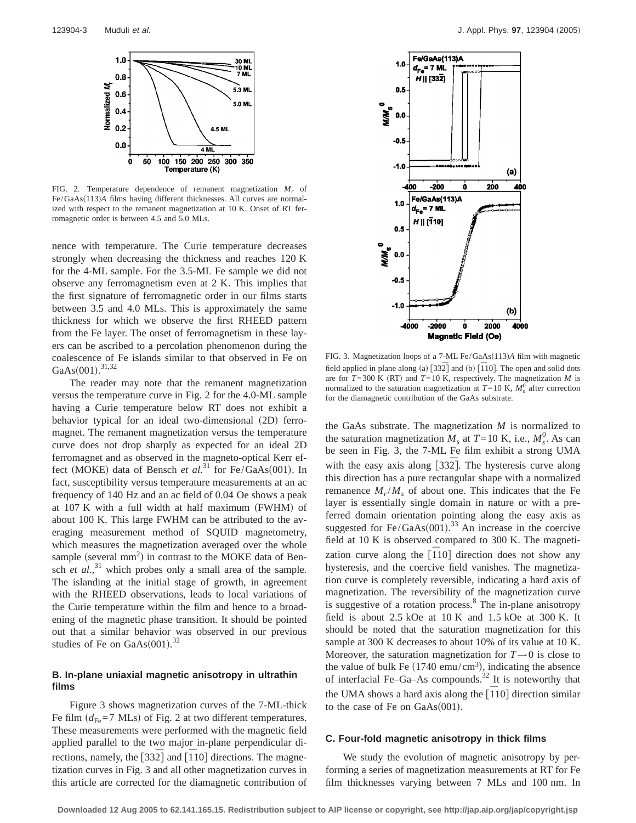

FIG. 2. Temperature dependence of remanent magnetization *Mr* of Fe/GaAs(113)A films having different thicknesses. All curves are normalized with respect to the remanent magnetization at 10 K. Onset of RT ferromagnetic order is between 4.5 and 5.0 MLs.

nence with temperature. The Curie temperature decreases strongly when decreasing the thickness and reaches 120 K for the 4-ML sample. For the 3.5-ML Fe sample we did not observe any ferromagnetism even at 2 K. This implies that the first signature of ferromagnetic order in our films starts between 3.5 and 4.0 MLs. This is approximately the same thickness for which we observe the first RHEED pattern from the Fe layer. The onset of ferromagnetism in these layers can be ascribed to a percolation phenomenon during the coalescence of Fe islands similar to that observed in Fe on GaAs $(001).$ <sup>31,32</sup>

The reader may note that the remanent magnetization versus the temperature curve in Fig. 2 for the 4.0-ML sample having a Curie temperature below RT does not exhibit a behavior typical for an ideal two-dimensional (2D) ferromagnet. The remanent magnetization versus the temperature curve does not drop sharply as expected for an ideal 2D ferromagnet and as observed in the magneto-optical Kerr effect (MOKE) data of Bensch *et al.*<sup>31</sup> for Fe/GaAs(001). In fact, susceptibility versus temperature measurements at an ac frequency of 140 Hz and an ac field of 0.04 Oe shows a peak at  $107$  K with a full width at half maximum (FWHM) of about 100 K. This large FWHM can be attributed to the averaging measurement method of SQUID magnetometry, which measures the magnetization averaged over the whole sample (several mm<sup>2</sup>) in contrast to the MOKE data of Bensch *et al.*<sup>31</sup> which probes only a small area of the sample. The islanding at the initial stage of growth, in agreement with the RHEED observations, leads to local variations of the Curie temperature within the film and hence to a broadening of the magnetic phase transition. It should be pointed out that a similar behavior was observed in our previous studies of Fe on GaAs $(001)$ .<sup>32</sup>

# **B. In-plane uniaxial magnetic anisotropy in ultrathin films**

Figure 3 shows magnetization curves of the 7-ML-thick Fe film  $(d_{Fe}=7$  MLs) of Fig. 2 at two different temperatures. These measurements were performed with the magnetic field applied parallel to the two major in-plane perpendicular directions, namely, the  $[33\overline{2}]$  and  $[\overline{1}10]$  directions. The magnetization curves in Fig. 3 and all other magnetization curves in this article are corrected for the diamagnetic contribution of



FIG. 3. Magnetization loops of a 7-ML Fe/GaAs(113)A film with magnetic field applied in plane along (a)  $\left[33\overline{2}\right]$  and (b)  $\left[110\right]$ . The open and solid dots are for  $T=300$  K (RT) and  $T=10$  K, respectively. The magnetization *M* is normalized to the saturation magnetization at  $T=10$  K,  $M_s^0$  after correction for the diamagnetic contribution of the GaAs substrate.

the GaAs substrate. The magnetization *M* is normalized to the saturation magnetization  $M_s$  at  $T=10$  K, i.e.,  $M_s^0$ . As can be seen in Fig. 3, the 7-ML Fe film exhibit a strong UMA with the easy axis along [332]. The hysteresis curve along this direction has a pure rectangular shape with a normalized remanence  $M_r/M_s$  of about one. This indicates that the Fe layer is essentially single domain in nature or with a preferred domain orientation pointing along the easy axis as suggested for Fe/GaAs $(001)$ .<sup>33</sup> An increase in the coercive field at 10 K is observed compared to 300 K. The magnetization curve along the  $\overline{110}$  direction does not show any hysteresis, and the coercive field vanishes. The magnetization curve is completely reversible, indicating a hard axis of magnetization. The reversibility of the magnetization curve is suggestive of a rotation process.<sup>8</sup> The in-plane anisotropy field is about 2.5 kOe at 10 K and 1.5 kOe at 300 K. It should be noted that the saturation magnetization for this sample at 300 K decreases to about 10% of its value at 10 K. Moreover, the saturation magnetization for  $T\rightarrow 0$  is close to the value of bulk Fe  $(1740 \text{ emu/cm}^3)$ , indicating the absence of interfacial Fe–Ga–As compounds.<sup>32</sup> It is noteworthy that the UMA shows a hard axis along the  $\overline{[110]}$  direction similar to the case of Fe on  $GaAs(001)$ .

## **C. Four-fold magnetic anisotropy in thick films**

We study the evolution of magnetic anisotropy by performing a series of magnetization measurements at RT for Fe film thicknesses varying between 7 MLs and 100 nm. In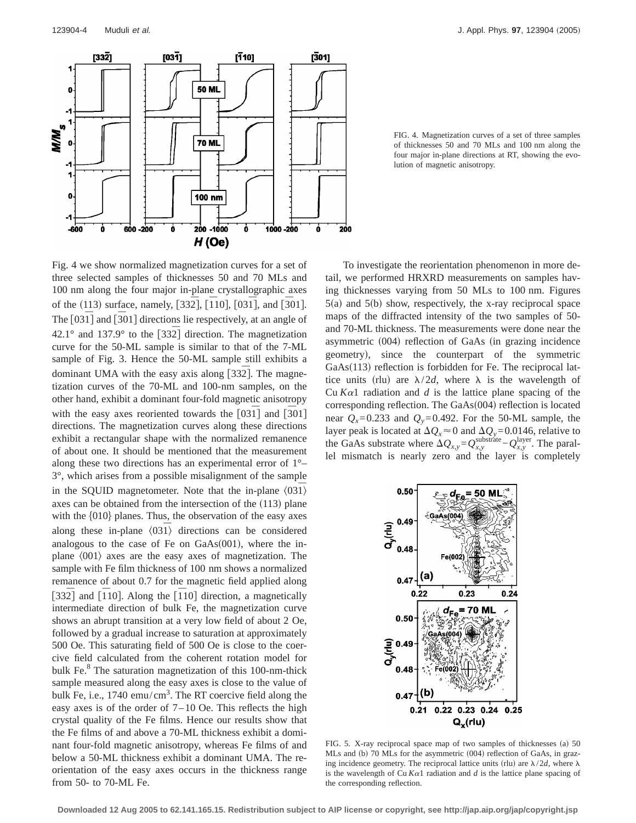

FIG. 4. Magnetization curves of a set of three samples of thicknesses 50 and 70 MLs and 100 nm along the four major in-plane directions at RT, showing the evolution of magnetic anisotropy.

Fig. 4 we show normalized magnetization curves for a set of three selected samples of thicknesses 50 and 70 MLs and 100 nm along the four major in-plane crystallographic axes of the (113) surface, namely, [332<sup>]</sup>, [10], [031<sup>]</sup>, and [301]. The [031<sup>]</sup> and [301] directions lie respectively, at an angle of 42.1° and 137.9° to the  $\lceil 332 \rceil$  direction. The magnetization curve for the 50-ML sample is similar to that of the 7-ML sample of Fig. 3. Hence the 50-ML sample still exhibits a dominant UMA with the easy axis along [332]. The magnetization curves of the 70-ML and 100-nm samples, on the other hand, exhibit a dominant four-fold magnetic anisotropy with the easy axes reoriented towards the  $[03\bar{1}]$  and  $[\bar{3}01]$ directions. The magnetization curves along these directions exhibit a rectangular shape with the normalized remanence of about one. It should be mentioned that the measurement along these two directions has an experimental error of 1°– 3°, which arises from a possible misalignment of the sample in the SQUID magnetometer. Note that the in-plane  $\langle 031 \rangle$ axes can be obtained from the intersection of the  $(113)$  plane with the  $\{010\}$  planes. Thus, the observation of the easy axes along these in-plane  $\langle 031 \rangle$  directions can be considered analogous to the case of Fe on  $GaAs(001)$ , where the inplane  $\langle 001 \rangle$  axes are the easy axes of magnetization. The sample with Fe film thickness of 100 nm shows a normalized remanence of about 0.7 for the magnetic field applied along  $[33\overline{2}]$  and  $[\overline{1}10]$ . Along the  $[\overline{1}10]$  direction, a magnetically intermediate direction of bulk Fe, the magnetization curve shows an abrupt transition at a very low field of about 2 Oe, followed by a gradual increase to saturation at approximately 500 Oe. This saturating field of 500 Oe is close to the coercive field calculated from the coherent rotation model for bulk Fe.<sup>8</sup> The saturation magnetization of this 100-nm-thick sample measured along the easy axes is close to the value of bulk Fe, i.e., 1740 emu/cm<sup>3</sup>. The RT coercive field along the easy axes is of the order of  $7-10$  Oe. This reflects the high crystal quality of the Fe films. Hence our results show that the Fe films of and above a 70-ML thickness exhibit a dominant four-fold magnetic anisotropy, whereas Fe films of and below a 50-ML thickness exhibit a dominant UMA. The reorientation of the easy axes occurs in the thickness range from 50- to 70-ML Fe.

To investigate the reorientation phenomenon in more detail, we performed HRXRD measurements on samples having thicknesses varying from 50 MLs to 100 nm. Figures  $5(a)$  and  $5(b)$  show, respectively, the x-ray reciprocal space maps of the diffracted intensity of the two samples of 50 and 70-ML thickness. The measurements were done near the asymmetric (004) reflection of GaAs (in grazing incidence geometry), since the counterpart of the symmetric  $GaAs(113)$  reflection is forbidden for Fe. The reciprocal lattice units (rlu) are  $\lambda/2d$ , where  $\lambda$  is the wavelength of Cu  $K\alpha$ 1 radiation and *d* is the lattice plane spacing of the corresponding reflection. The  $GaAs(004)$  reflection is located near  $Q_x=0.233$  and  $Q_y=0.492$ . For the 50-ML sample, the layer peak is located at  $\Delta Q_x \approx 0$  and  $\Delta Q_y = 0.0146$ , relative to the GaAs substrate where  $\Delta Q_{x,y} = Q_{x,y}^{\text{substrate}} - Q_{x,y}^{\text{layer}}$ . The parallel mismatch is nearly zero and the layer is completely



FIG. 5. X-ray reciprocal space map of two samples of thicknesses (a) 50 MLs and (b) 70 MLs for the asymmetric (004) reflection of GaAs, in grazing incidence geometry. The reciprocal lattice units (rlu) are  $\lambda/2d$ , where  $\lambda$ is the wavelength of Cu  $K\alpha$ 1 radiation and *d* is the lattice plane spacing of the corresponding reflection.

**Downloaded 12 Aug 2005 to 62.141.165.15. Redistribution subject to AIP license or copyright, see http://jap.aip.org/jap/copyright.jsp**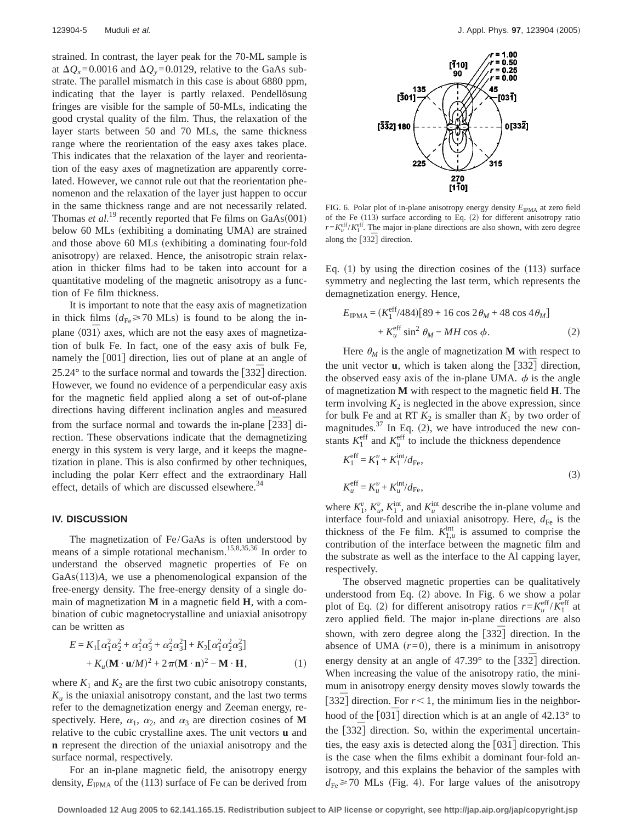strained. In contrast, the layer peak for the 70-ML sample is at  $\Delta Q_x = 0.0016$  and  $\Delta Q_y = 0.0129$ , relative to the GaAs substrate. The parallel mismatch in this case is about 6880 ppm, indicating that the layer is partly relaxed. Pendellösung fringes are visible for the sample of 50-MLs, indicating the good crystal quality of the film. Thus, the relaxation of the layer starts between 50 and 70 MLs, the same thickness range where the reorientation of the easy axes takes place. This indicates that the relaxation of the layer and reorientation of the easy axes of magnetization are apparently correlated. However, we cannot rule out that the reorientation phenomenon and the relaxation of the layer just happen to occur in the same thickness range and are not necessarily related. Thomas *et al.*<sup>19</sup> recently reported that Fe films on  $GaAs(001)$ below 60 MLs (exhibiting a dominating UMA) are strained and those above 60 MLs (exhibiting a dominating four-fold anisotropy) are relaxed. Hence, the anisotropic strain relaxation in thicker films had to be taken into account for a quantitative modeling of the magnetic anisotropy as a function of Fe film thickness.

It is important to note that the easy axis of magnetization in thick films  $(d_{\text{Fe}} \ge 70 \text{ MLs})$  is found to be along the inplane  $\langle 031 \rangle$  axes, which are not the easy axes of magnetization of bulk Fe. In fact, one of the easy axis of bulk Fe, namely the [001] direction, lies out of plane at an angle of 25.24° to the surface normal and towards the [332] direction. However, we found no evidence of a perpendicular easy axis for the magnetic field applied along a set of out-of-plane directions having different inclination angles and measured from the surface normal and towards the in-plane [233] direction. These observations indicate that the demagnetizing energy in this system is very large, and it keeps the magnetization in plane. This is also confirmed by other techniques, including the polar Kerr effect and the extraordinary Hall effect, details of which are discussed elsewhere.<sup>34</sup>

# **IV. DISCUSSION**

The magnetization of Fe/GaAs is often understood by means of a simple rotational mechanism.<sup>15,8,35,35</sup> In order to understand the observed magnetic properties of Fe on GaAs(113)A, we use a phenomenological expansion of the free-energy density. The free-energy density of a single domain of magnetization **M** in a magnetic field **H**, with a combination of cubic magnetocrystalline and uniaxial anisotropy can be written as

$$
E = K_1 \left[ \alpha_1^2 \alpha_2^2 + \alpha_1^2 \alpha_3^2 + \alpha_2^2 \alpha_3^2 \right] + K_2 \left[ \alpha_1^2 \alpha_2^2 \alpha_3^2 \right] + K_u (\mathbf{M} \cdot \mathbf{u}/M)^2 + 2 \pi (\mathbf{M} \cdot \mathbf{n})^2 - \mathbf{M} \cdot \mathbf{H},
$$
 (1)

where  $K_1$  and  $K_2$  are the first two cubic anisotropy constants,  $K_u$  is the uniaxial anisotropy constant, and the last two terms refer to the demagnetization energy and Zeeman energy, respectively. Here,  $\alpha_1$ ,  $\alpha_2$ , and  $\alpha_3$  are direction cosines of **M** relative to the cubic crystalline axes. The unit vectors **u** and **n** represent the direction of the uniaxial anisotropy and the surface normal, respectively.

For an in-plane magnetic field, the anisotropy energy density,  $E_{IPMA}$  of the (113) surface of Fe can be derived from



FIG. 6. Polar plot of in-plane anisotropy energy density  $E_{IPMA}$  at zero field of the Fe  $(113)$  surface according to Eq.  $(2)$  for different anisotropy ratio  $r = K_u^{\text{eff}}/K_1^{\text{eff}}$ . The major in-plane directions are also shown, with zero degree along the  $[33\overline{2}]$  direction.

Eq. (1) by using the direction cosines of the  $(113)$  surface symmetry and neglecting the last term, which represents the demagnetization energy. Hence,

$$
E_{IPMA} = (K_1^{eff}/484)[89 + 16 \cos 2\theta_M + 48 \cos 4\theta_M] + K_u^{eff} \sin^2 \theta_M - MH \cos \phi.
$$
 (2)

Here  $\theta_M$  is the angle of magnetization **M** with respect to the unit vector **u**, which is taken along the  $\left[33\overline{2}\right]$  direction, the observed easy axis of the in-plane UMA.  $\phi$  is the angle of magnetization **M** with respect to the magnetic field **H**. The term involving  $K_2$  is neglected in the above expression, since for bulk Fe and at RT  $K_2$  is smaller than  $K_1$  by two order of magnitudes.<sup>37</sup> In Eq. (2), we have introduced the new constants  $K_1^{\text{eff}}$  and  $K_u^{\text{eff}}$  to include the thickness dependence

$$
K_1^{\text{eff}} = K_1^{\nu} + K_1^{\text{int}} / d_{\text{Fe}},
$$
  
\n
$$
K_u^{\text{eff}} = K_u^{\nu} + K_u^{\text{int}} / d_{\text{Fe}},
$$
\n(3)

where  $K_1^v$ ,  $K_u^v$ ,  $K_1^{\text{int}}$ , and  $K_u^{\text{int}}$  describe the in-plane volume and interface four-fold and uniaxial anisotropy. Here,  $d_{Fe}$  is the thickness of the Fe film.  $K_{1,u}^{\text{int}}$  is assumed to comprise the contribution of the interface between the magnetic film and the substrate as well as the interface to the Al capping layer, respectively.

The observed magnetic properties can be qualitatively understood from Eq.  $(2)$  above. In Fig. 6 we show a polar plot of Eq. (2) for different anisotropy ratios  $r = K_u^{\text{eff}}/K_1^{\text{eff}}$  at zero applied field. The major in-plane directions are also shown, with zero degree along the  $\lceil 332 \rceil$  direction. In the absence of UMA  $(r=0)$ , there is a minimum in anisotropy energy density at an angle of  $47.39^{\circ}$  to the  $\lceil 332 \rceil$  direction. When increasing the value of the anisotropy ratio, the minimum in anisotropy energy density moves slowly towards the [332] direction. For  $r < 1$ , the minimum lies in the neighborhood of the  $\lceil 03\overline{1} \rceil$  direction which is at an angle of 42.13° to the [332] direction. So, within the experimental uncertainties, the easy axis is detected along the [031<sup>]</sup> direction. This is the case when the films exhibit a dominant four-fold anisotropy, and this explains the behavior of the samples with  $d_{\text{Fe}} \ge 70$  MLs (Fig. 4). For large values of the anisotropy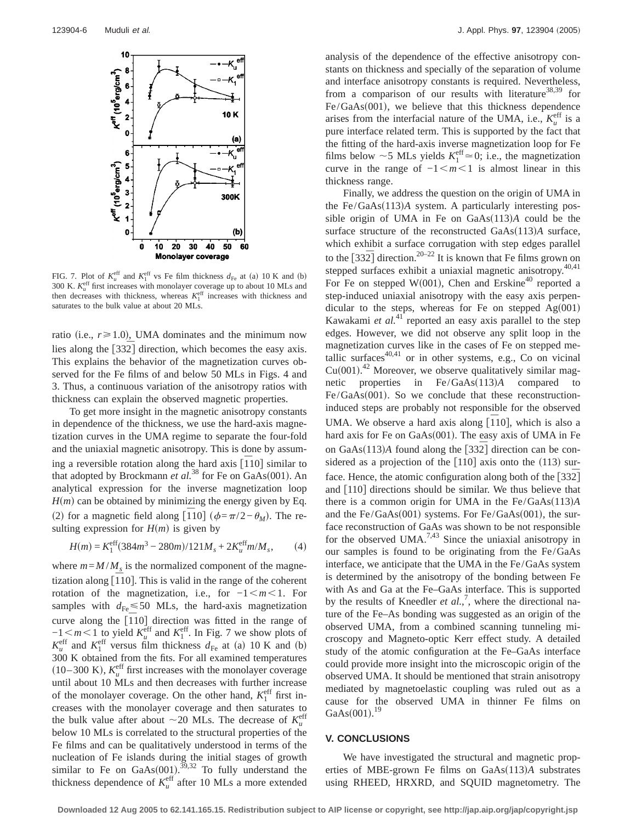

FIG. 7. Plot of  $K_u^{\text{eff}}$  and  $K_1^{\text{eff}}$  vs Fe film thickness  $d_{\text{Fe}}$  at (a) 10 K and (b) 300 K.  $K_u^{\text{eff}}$  first increases with monolayer coverage up to about 10 MLs and then decreases with thickness, whereas  $K_1^{\text{eff}}$  increases with thickness and saturates to the bulk value at about 20 MLs.

ratio (i.e.,  $r \ge 1.0$ ), UMA dominates and the minimum now lies along the [332] direction, which becomes the easy axis. This explains the behavior of the magnetization curves observed for the Fe films of and below 50 MLs in Figs. 4 and 3. Thus, a continuous variation of the anisotropy ratios with thickness can explain the observed magnetic properties.

To get more insight in the magnetic anisotropy constants in dependence of the thickness, we use the hard-axis magnetization curves in the UMA regime to separate the four-fold and the uniaxial magnetic anisotropy. This is done by assuming a reversible rotation along the hard axis  $\left[110\right]$  similar to that adopted by Brockmann *et al.*<sup>38</sup> for Fe on GaAs(001). An analytical expression for the inverse magnetization loop  $H(m)$  can be obtained by minimizing the energy given by Eq. (2) for a magnetic field along  $\left[\overline{110}\right]$  ( $\phi = \pi/2 - \theta_M$ ). The resulting expression for  $H(m)$  is given by

$$
H(m) = K_1^{\text{eff}}(384m^3 - 280m)/121M_s + 2K_u^{\text{eff}}m/M_s, \qquad (4)
$$

where  $m = M/M_s$  is the normalized component of the magnetization along  $\left[\overline{1}10\right]$ . This is valid in the range of the coherent rotation of the magnetization, i.e., for  $-1 < m < 1$ . For samples with  $d_{Fe} \le 50$  MLs, the hard-axis magnetization curve along the  $\left[110\right]$  direction was fitted in the range of  $-1 < m < 1$  to yield  $K_u^{\text{eff}}$  and  $K_1^{\text{eff}}$ . In Fig. 7 we show plots of  $K_u^{\text{eff}}$  and  $K_1^{\text{eff}}$  versus film thickness  $d_{\text{Fe}}$  at (a) 10 K and (b) 300 K obtained from the fits. For all examined temperatures  $(10-300 \text{ K})$ ,  $K_u^{\text{eff}}$  first increases with the monolayer coverage until about 10 MLs and then decreases with further increase of the monolayer coverage. On the other hand,  $K_1^{\text{eff}}$  first increases with the monolayer coverage and then saturates to the bulk value after about  $\sim$  20 MLs. The decrease of  $K_u^{\text{eff}}$ below 10 MLs is correlated to the structural properties of the Fe films and can be qualitatively understood in terms of the nucleation of Fe islands during the initial stages of growth similar to Fe on GaAs $(001)$ .<sup>39,32</sup> To fully understand the thickness dependence of  $K_u^{\text{eff}}$  after 10 MLs a more extended

analysis of the dependence of the effective anisotropy constants on thickness and specially of the separation of volume and interface anisotropy constants is required. Nevertheless, from a comparison of our results with literature<sup>38,39</sup> for  $Fe/GaAs(001)$ , we believe that this thickness dependence arises from the interfacial nature of the UMA, i.e.,  $K_u^{\text{eff}}$  is a pure interface related term. This is supported by the fact that the fitting of the hard-axis inverse magnetization loop for Fe films below  $\sim$  5 MLs yields  $K_1^{\text{eff}} \approx 0$ ; i.e., the magnetization curve in the range of  $-1$   $\leq m \leq 1$  is almost linear in this thickness range.

Finally, we address the question on the origin of UMA in the Fe/GaAs(113)A system. A particularly interesting possible origin of UMA in Fe on  $GaAs(113)A$  could be the surface structure of the reconstructed GaAs(113)A surface, which exhibit a surface corrugation with step edges parallel to the  $[33\overline{2}]$  direction.<sup>20–22</sup> It is known that Fe films grown on stepped surfaces exhibit a uniaxial magnetic anisotropy.<sup>40,41</sup> For Fe on stepped W(001), Chen and Erskine<sup>40</sup> reported a step-induced uniaxial anisotropy with the easy axis perpendicular to the steps, whereas for Fe on stepped  $Ag(001)$ Kawakami *et al.*<sup>41</sup> reported an easy axis parallel to the step edges. However, we did not observe any split loop in the magnetization curves like in the cases of Fe on stepped metallic surfaces $40,41$  or in other systems, e.g., Co on vicinal  $Cu(001).$ <sup>42</sup> Moreover, we observe qualitatively similar magnetic properties in  $Fe/GaAs(113)A$  compared  $Fe/GaAs(001)$ . So we conclude that these reconstructioninduced steps are probably not responsible for the observed UMA. We observe a hard axis along  $\overline{[110]}$ , which is also a hard axis for Fe on  $GaAs(001)$ . The easy axis of UMA in Fe on GaAs $(113)A$  found along the  $\lceil 332 \rceil$  direction can be considered as a projection of the  $[110]$  axis onto the (113) surface. Hence, the atomic configuration along both of the [332<sup>]</sup> and [110] directions should be similar. We thus believe that there is a common origin for UMA in the  $Fe/GaAs(113)A$ and the  $Fe/GaAs(001)$  systems. For  $Fe/GaAs(001)$ , the surface reconstruction of GaAs was shown to be not responsible for the observed UMA.<sup>7,43</sup> Since the uniaxial anisotropy in our samples is found to be originating from the Fe/GaAs interface, we anticipate that the UMA in the Fe/GaAs system is determined by the anisotropy of the bonding between Fe with As and Ga at the Fe–GaAs interface. This is supported by the results of Kneedler *et al.*,<sup>7</sup>, where the directional nature of the Fe–As bonding was suggested as an origin of the observed UMA, from a combined scanning tunneling microscopy and Magneto-optic Kerr effect study. A detailed study of the atomic configuration at the Fe–GaAs interface could provide more insight into the microscopic origin of the observed UMA. It should be mentioned that strain anisotropy mediated by magnetoelastic coupling was ruled out as a cause for the observed UMA in thinner Fe films on  $GaAs(001).^{19}$ 

## **V. CONCLUSIONS**

We have investigated the structural and magnetic properties of MBE-grown Fe films on GaAs(113)A substrates using RHEED, HRXRD, and SQUID magnetometry. The